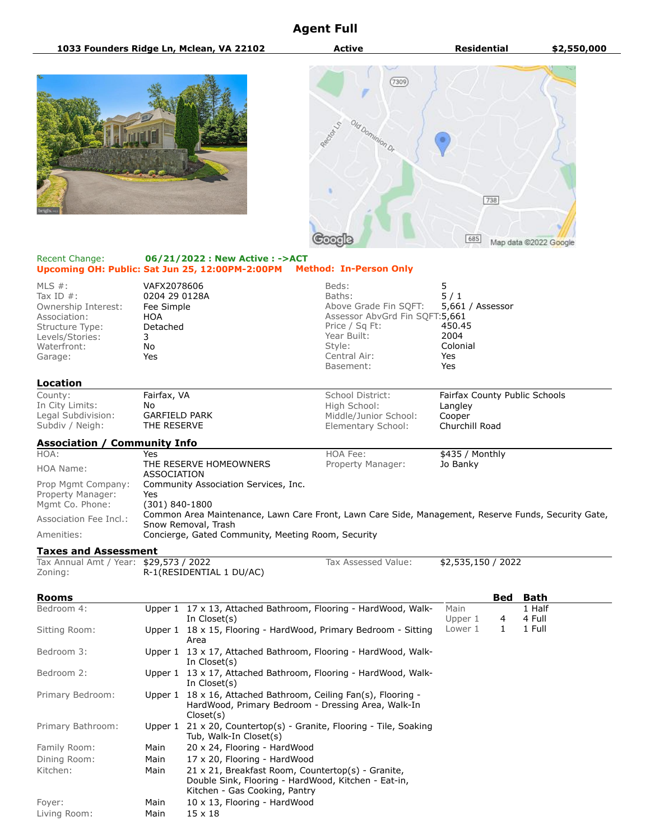## **Agent Full**







## Recent Change: **06/21/2022 : New Active : ->ACT Upcoming OH: Public: Sat Jun 25, 12:00PM-2:00PM Method: In-Person Only**

| MLS $#$ :<br>Tax ID $#$ :<br>Ownership Interest:<br>Association:<br>Structure Type:<br>Levels/Stories:<br>Waterfront:<br>Garage: | VAFX2078606<br>0204 29 0128A<br>Fee Simple<br>HOA<br>Detached<br>3<br>No<br>Yes | Beds:<br>Baths:<br>Price / Sq Ft:<br>Year Built:<br>Style:<br>Central Air:<br>Basement:                                                   | Above Grade Fin SQFT:<br>Assessor AbvGrd Fin SQFT:5,661 | 5<br>5/1<br>5,661 / Assessor<br>450.45<br>2004<br>Colonial<br>Yes<br>Yes |     |                               |
|----------------------------------------------------------------------------------------------------------------------------------|---------------------------------------------------------------------------------|-------------------------------------------------------------------------------------------------------------------------------------------|---------------------------------------------------------|--------------------------------------------------------------------------|-----|-------------------------------|
| Location                                                                                                                         |                                                                                 |                                                                                                                                           |                                                         |                                                                          |     |                               |
| County:<br>In City Limits:<br>Legal Subdivision:<br>Subdiv / Neigh:                                                              | Fairfax, VA<br>No<br><b>GARFIELD PARK</b><br>THE RESERVE                        | School District:<br>High School:                                                                                                          | Middle/Junior School:<br>Elementary School:             | Langley<br>Cooper<br>Churchill Road                                      |     | Fairfax County Public Schools |
| <b>Association / Community Info</b>                                                                                              |                                                                                 |                                                                                                                                           |                                                         |                                                                          |     |                               |
| HOA:<br><b>HOA Name:</b>                                                                                                         | Yes<br><b>ASSOCIATION</b>                                                       | <b>HOA Fee:</b><br>THE RESERVE HOMEOWNERS                                                                                                 | Property Manager:                                       | \$435 / Monthly<br>Jo Banky                                              |     |                               |
| Prop Mgmt Company:<br>Property Manager:<br>Mgmt Co. Phone:                                                                       | Community Association Services, Inc.<br>Yes<br>$(301) 840 - 1800$               |                                                                                                                                           |                                                         |                                                                          |     |                               |
| Association Fee Incl.:                                                                                                           |                                                                                 | Common Area Maintenance, Lawn Care Front, Lawn Care Side, Management, Reserve Funds, Security Gate,                                       |                                                         |                                                                          |     |                               |
| Amenities:                                                                                                                       |                                                                                 | Snow Removal, Trash<br>Concierge, Gated Community, Meeting Room, Security                                                                 |                                                         |                                                                          |     |                               |
| <b>Taxes and Assessment</b>                                                                                                      |                                                                                 |                                                                                                                                           |                                                         |                                                                          |     |                               |
| Tax Annual Amt / Year: \$29,573 / 2022<br>Zoning:                                                                                |                                                                                 | R-1(RESIDENTIAL 1 DU/AC)                                                                                                                  | Tax Assessed Value:                                     | \$2,535,150 / 2022                                                       |     |                               |
| Rooms                                                                                                                            |                                                                                 |                                                                                                                                           |                                                         |                                                                          | Bed | Bath                          |
| Bedroom 4:                                                                                                                       |                                                                                 | Upper 1 17 x 13, Attached Bathroom, Flooring - HardWood, Walk-<br>In Closet(s)                                                            |                                                         | Main<br>Upper 1                                                          | 4   | 1 Half<br>4 Full              |
| Sitting Room:                                                                                                                    |                                                                                 | Upper $1 \quad 18 \times 15$ , Flooring - HardWood, Primary Bedroom - Sitting<br>Area                                                     |                                                         | Lower 1                                                                  | 1   | 1 Full                        |
| Bedroom 3:                                                                                                                       |                                                                                 | Upper 1 13 x 17, Attached Bathroom, Flooring - HardWood, Walk-<br>In Closet(s)                                                            |                                                         |                                                                          |     |                               |
| Bedroom 2:                                                                                                                       |                                                                                 | Upper $1 \quad 13 \times 17$ , Attached Bathroom, Flooring - HardWood, Walk-<br>In Closet(s)                                              |                                                         |                                                                          |     |                               |
| Primary Bedroom:                                                                                                                 |                                                                                 | Upper 1 18 x 16, Attached Bathroom, Ceiling Fan(s), Flooring -<br>HardWood, Primary Bedroom - Dressing Area, Walk-In<br>Closed(s)         |                                                         |                                                                          |     |                               |
| Primary Bathroom:                                                                                                                |                                                                                 | Upper 1 21 x 20, Countertop(s) - Granite, Flooring - Tile, Soaking<br>Tub, Walk-In Closet(s)                                              |                                                         |                                                                          |     |                               |
| Family Room:                                                                                                                     | Main                                                                            | 20 x 24, Flooring - HardWood                                                                                                              |                                                         |                                                                          |     |                               |
| Dining Room:                                                                                                                     | Main                                                                            | 17 x 20, Flooring - HardWood                                                                                                              |                                                         |                                                                          |     |                               |
| Kitchen:                                                                                                                         | Main                                                                            | 21 x 21, Breakfast Room, Countertop(s) - Granite,<br>Double Sink, Flooring - HardWood, Kitchen - Eat-in,<br>Kitchen - Gas Cooking, Pantry |                                                         |                                                                          |     |                               |
| Foyer:                                                                                                                           | Main                                                                            | 10 x 13, Flooring - HardWood                                                                                                              |                                                         |                                                                          |     |                               |
| Living Room:                                                                                                                     | Main                                                                            | $15 \times 18$                                                                                                                            |                                                         |                                                                          |     |                               |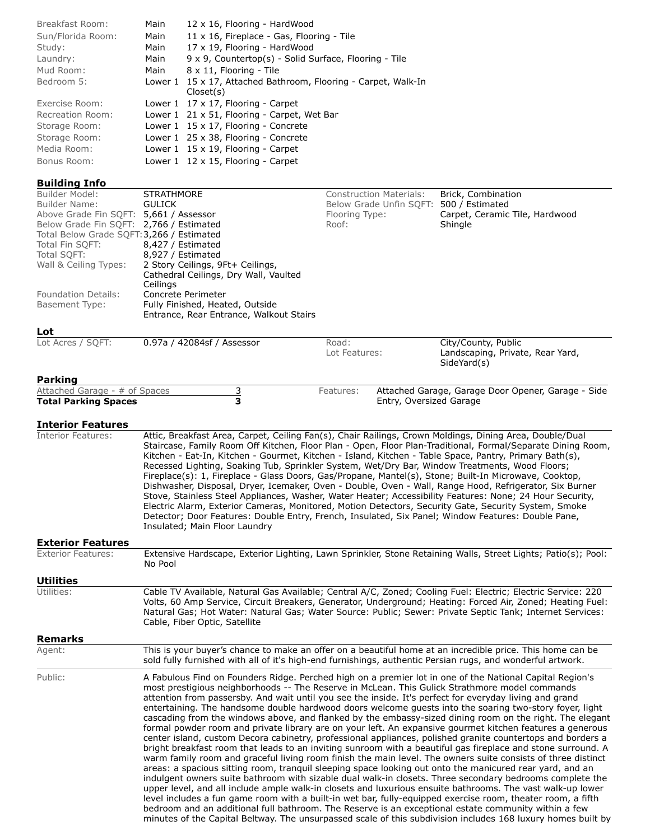| Breakfast Room:   | Main | 12 x 16, Flooring - HardWood                                                     |
|-------------------|------|----------------------------------------------------------------------------------|
| Sun/Florida Room: | Main | $11 \times 16$ , Fireplace - Gas, Flooring - Tile                                |
| Study:            | Main | 17 x 19, Flooring - HardWood                                                     |
| Laundry:          | Main | 9 x 9, Countertop(s) - Solid Surface, Flooring - Tile                            |
| Mud Room:         | Main | 8 x 11, Flooring - Tile                                                          |
| Bedroom 5:        |      | Lower $1 \times 17$ , Attached Bathroom, Flooring - Carpet, Walk-In<br>Closed(s) |
| Exercise Room:    |      | Lower $1 \t17 \times 17$ , Flooring - Carpet                                     |
| Recreation Room:  |      | Lower 1 21 x 51, Flooring - Carpet, Wet Bar                                      |
| Storage Room:     |      | Lower $1 \t15 \times 17$ , Flooring - Concrete                                   |
| Storage Room:     |      | Lower 1 25 x 38, Flooring - Concrete                                             |
| Media Room:       |      | Lower $1 \t15 \times 19$ , Flooring - Carpet                                     |
| Bonus Room:       |      | Lower 1 12 x 15, Flooring - Carpet                                               |

## **Building Info**

| Builder Model:                            | <b>STRATHMORE</b>                       | <b>Construction Materials:</b> | Brick, Combination             |
|-------------------------------------------|-----------------------------------------|--------------------------------|--------------------------------|
| Builder Name:                             | <b>GULICK</b>                           | Below Grade Unfin SOFT:        | 500 / Estimated                |
| Above Grade Fin SOFT: 5,661 / Assessor    |                                         | Flooring Type:                 | Carpet, Ceramic Tile, Hardwood |
| Below Grade Fin SOFT: 2,766 / Estimated   |                                         | Roof:                          | Shingle                        |
| Total Below Grade SQFT: 3,266 / Estimated |                                         |                                |                                |
| Total Fin SQFT:                           | 8,427 / Estimated                       |                                |                                |
| Total SQFT:                               | 8,927 / Estimated                       |                                |                                |
| Wall & Ceiling Types:                     | 2 Story Ceilings, 9Ft+ Ceilings,        |                                |                                |
|                                           | Cathedral Ceilings, Dry Wall, Vaulted   |                                |                                |
|                                           | Ceilings                                |                                |                                |
| <b>Foundation Details:</b>                | Concrete Perimeter                      |                                |                                |
| Basement Type:                            | Fully Finished, Heated, Outside         |                                |                                |
|                                           | Entrance, Rear Entrance, Walkout Stairs |                                |                                |
| Lot                                       |                                         |                                |                                |

| Lot Acres / SOFT: | 0.97a / 42084sf / Assessor | Road:<br>Lot Features: | City/County, Public<br>Landscaping, Private, Rear Yard,<br>SideYard(s) |
|-------------------|----------------------------|------------------------|------------------------------------------------------------------------|
| <b>Parking</b>    |                            |                        |                                                                        |

| Attached Garage - # of Spaces | Features: | Attached Garage, Garage Door Opener, Garage - Side |
|-------------------------------|-----------|----------------------------------------------------|
| <b>Total Parking Spaces</b>   |           | Entry, Oversized Garage                            |

## **Interior Features**

| <b>Interior Features:</b> | Attic, Breakfast Area, Carpet, Ceiling Fan(s), Chair Railings, Crown Moldings, Dining Area, Double/Dual<br>Staircase, Family Room Off Kitchen, Floor Plan - Open, Floor Plan-Traditional, Formal/Separate Dining Room,<br>Kitchen - Eat-In, Kitchen - Gourmet, Kitchen - Island, Kitchen - Table Space, Pantry, Primary Bath(s),<br>Recessed Lighting, Soaking Tub, Sprinkler System, Wet/Dry Bar, Window Treatments, Wood Floors;<br>Fireplace(s): 1, Fireplace - Glass Doors, Gas/Propane, Mantel(s), Stone; Built-In Microwave, Cooktop,<br>Dishwasher, Disposal, Dryer, Icemaker, Oven - Double, Oven - Wall, Range Hood, Refrigerator, Six Burner<br>Stove, Stainless Steel Appliances, Washer, Water Heater; Accessibility Features: None; 24 Hour Security,<br>Electric Alarm, Exterior Cameras, Monitored, Motion Detectors, Security Gate, Security System, Smoke<br>Detector; Door Features: Double Entry, French, Insulated, Six Panel; Window Features: Double Pane,<br>Insulated; Main Floor Laundry                                                                                                                                                                                                                                                                                                                                                                                                                                                                                                                                                                                                                                                                     |
|---------------------------|---------------------------------------------------------------------------------------------------------------------------------------------------------------------------------------------------------------------------------------------------------------------------------------------------------------------------------------------------------------------------------------------------------------------------------------------------------------------------------------------------------------------------------------------------------------------------------------------------------------------------------------------------------------------------------------------------------------------------------------------------------------------------------------------------------------------------------------------------------------------------------------------------------------------------------------------------------------------------------------------------------------------------------------------------------------------------------------------------------------------------------------------------------------------------------------------------------------------------------------------------------------------------------------------------------------------------------------------------------------------------------------------------------------------------------------------------------------------------------------------------------------------------------------------------------------------------------------------------------------------------------------------------------------------------------------|
| <b>Exterior Features</b>  |                                                                                                                                                                                                                                                                                                                                                                                                                                                                                                                                                                                                                                                                                                                                                                                                                                                                                                                                                                                                                                                                                                                                                                                                                                                                                                                                                                                                                                                                                                                                                                                                                                                                                       |
| <b>Exterior Features:</b> | Extensive Hardscape, Exterior Lighting, Lawn Sprinkler, Stone Retaining Walls, Street Lights; Patio(s); Pool:<br>No Pool                                                                                                                                                                                                                                                                                                                                                                                                                                                                                                                                                                                                                                                                                                                                                                                                                                                                                                                                                                                                                                                                                                                                                                                                                                                                                                                                                                                                                                                                                                                                                              |
| <b>Utilities</b>          |                                                                                                                                                                                                                                                                                                                                                                                                                                                                                                                                                                                                                                                                                                                                                                                                                                                                                                                                                                                                                                                                                                                                                                                                                                                                                                                                                                                                                                                                                                                                                                                                                                                                                       |
| Utilities:                | Cable TV Available, Natural Gas Available; Central A/C, Zoned; Cooling Fuel: Electric; Electric Service: 220<br>Volts, 60 Amp Service, Circuit Breakers, Generator, Underground; Heating: Forced Air, Zoned; Heating Fuel:<br>Natural Gas; Hot Water: Natural Gas; Water Source: Public; Sewer: Private Septic Tank; Internet Services:<br>Cable, Fiber Optic, Satellite                                                                                                                                                                                                                                                                                                                                                                                                                                                                                                                                                                                                                                                                                                                                                                                                                                                                                                                                                                                                                                                                                                                                                                                                                                                                                                              |
| <b>Remarks</b>            |                                                                                                                                                                                                                                                                                                                                                                                                                                                                                                                                                                                                                                                                                                                                                                                                                                                                                                                                                                                                                                                                                                                                                                                                                                                                                                                                                                                                                                                                                                                                                                                                                                                                                       |
| Agent:                    | This is your buyer's chance to make an offer on a beautiful home at an incredible price. This home can be<br>sold fully furnished with all of it's high-end furnishings, authentic Persian rugs, and wonderful artwork.                                                                                                                                                                                                                                                                                                                                                                                                                                                                                                                                                                                                                                                                                                                                                                                                                                                                                                                                                                                                                                                                                                                                                                                                                                                                                                                                                                                                                                                               |
| Public:                   | A Fabulous Find on Founders Ridge. Perched high on a premier lot in one of the National Capital Region's<br>most prestigious neighborhoods -- The Reserve in McLean. This Gulick Strathmore model commands<br>attention from passersby. And wait until you see the inside. It's perfect for everyday living and grand<br>entertaining. The handsome double hardwood doors welcome guests into the soaring two-story foyer, light<br>cascading from the windows above, and flanked by the embassy-sized dining room on the right. The elegant<br>formal powder room and private library are on your left. An expansive gourmet kitchen features a generous<br>center island, custom Decora cabinetry, professional appliances, polished granite countertops and borders a<br>bright breakfast room that leads to an inviting sunroom with a beautiful gas fireplace and stone surround. A<br>warm family room and graceful living room finish the main level. The owners suite consists of three distinct<br>areas: a spacious sitting room, tranquil sleeping space looking out onto the manicured rear yard, and an<br>indulgent owners suite bathroom with sizable dual walk-in closets. Three secondary bedrooms complete the<br>upper level, and all include ample walk-in closets and luxurious ensuite bathrooms. The vast walk-up lower<br>level includes a fun game room with a built-in wet bar, fully-equipped exercise room, theater room, a fifth<br>bedroom and an additional full bathroom. The Reserve is an exceptional estate community within a few<br>minutes of the Capital Beltway. The unsurpassed scale of this subdivision includes 168 luxury homes built by |